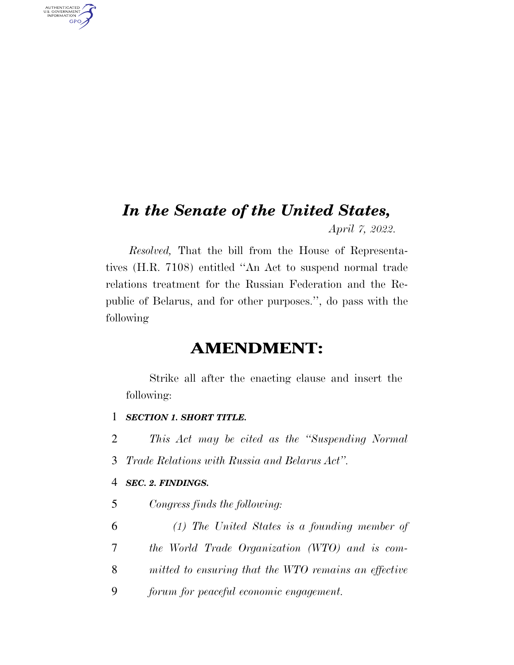## *In the Senate of the United States, April 7, 2022.*

*Resolved,* That the bill from the House of Representatives (H.R. 7108) entitled ''An Act to suspend normal trade relations treatment for the Russian Federation and the Republic of Belarus, and for other purposes.'', do pass with the following

## **AMENDMENT:**

Strike all after the enacting clause and insert the following:

- 1 *SECTION 1. SHORT TITLE.*
- 2 *This Act may be cited as the ''Suspending Normal*
- 3 *Trade Relations with Russia and Belarus Act''.*

## 4 *SEC. 2. FINDINGS.*

AUTHENTICATED<br>U.S. GOVERNMENT<br>INFORMATION

**GPO** 

- 5 *Congress finds the following:*
- 6 *(1) The United States is a founding member of*
- 7 *the World Trade Organization (WTO) and is com-*
- 8 *mitted to ensuring that the WTO remains an effective*
- 9 *forum for peaceful economic engagement.*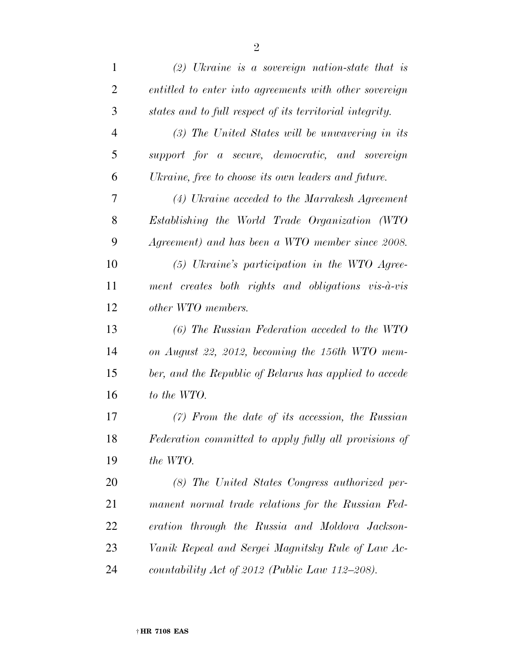| $\mathbf{1}$   | $(2)$ Ukraine is a sovereign nation-state that is        |
|----------------|----------------------------------------------------------|
| $\overline{2}$ | entitled to enter into agreements with other sovereign   |
| 3              | states and to full respect of its territorial integrity. |
| $\overline{4}$ | (3) The United States will be unwavering in its          |
| 5              | support for a secure, democratic, and sovereign          |
| 6              | Ukraine, free to choose its own leaders and future.      |
| 7              | (4) Ukraine acceded to the Marrakesh Agreement           |
| 8              | Establishing the World Trade Organization (WTO           |
| 9              | Agreement) and has been a WTO member since 2008.         |
| 10             | $(5)$ Ukraine's participation in the WTO Agree-          |
| 11             | ment creates both rights and obligations vis-à-vis       |
| 12             | other WTO members.                                       |
| 13             | (6) The Russian Federation acceded to the WTO            |
| 14             | on August 22, 2012, becoming the 156th WTO mem-          |
| 15             | ber, and the Republic of Belarus has applied to accede   |
| 16             | to the WTO.                                              |
| 17             | $(7)$ From the date of its accession, the Russian        |
| 18             | Federation committed to apply fully all provisions of    |
| 19             | the WTO.                                                 |
| 20             | (8) The United States Congress authorized per-           |
| 21             | manent normal trade relations for the Russian Fed-       |
| 22             | eration through the Russia and Moldova Jackson-          |
| 23             | Vanik Repeal and Sergei Magnitsky Rule of Law Ac-        |
| 24             | countability Act of 2012 (Public Law 112–208).           |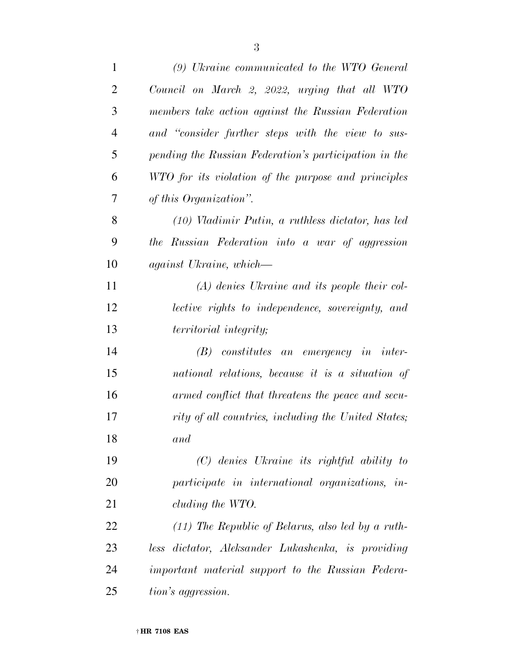| $\mathbf{1}$   | (9) Ukraine communicated to the WTO General           |
|----------------|-------------------------------------------------------|
| 2              | Council on March 2, 2022, urging that all WTO         |
| 3              | members take action against the Russian Federation    |
| $\overline{4}$ | and "consider further steps with the view to sus-     |
| 5              | pending the Russian Federation's participation in the |
| 6              | WTO for its violation of the purpose and principles   |
| 7              | of this Organization".                                |
| 8              | $(10)$ Vladimir Putin, a ruthless dictator, has led   |
| 9              | the Russian Federation into a war of aggression       |
| 10             | <i>against Ukraine, which</i> —                       |
| 11             | $(A)$ denies Ukraine and its people their col-        |
| 12             | lective rights to independence, sovereignty, and      |
| 13             | <i>territorial integrity;</i>                         |
| 14             | $(B)$ constitutes an emergency in inter-              |
| 15             | national relations, because it is a situation of      |
| 16             | armed conflict that threatens the peace and secu-     |
| 17             | rity of all countries, including the United States;   |
| 18             | and                                                   |
| 19             | (C) denies Ukraine its rightful ability to            |
| 20             | participate in international organizations, in-       |
| 21             | cluding the WTO.                                      |
| 22             | $(11)$ The Republic of Belarus, also led by a ruth-   |
| 23             | less dictator, Aleksander Lukashenka, is providing    |
| 24             | important material support to the Russian Federa-     |
| 25             | tion's aggression.                                    |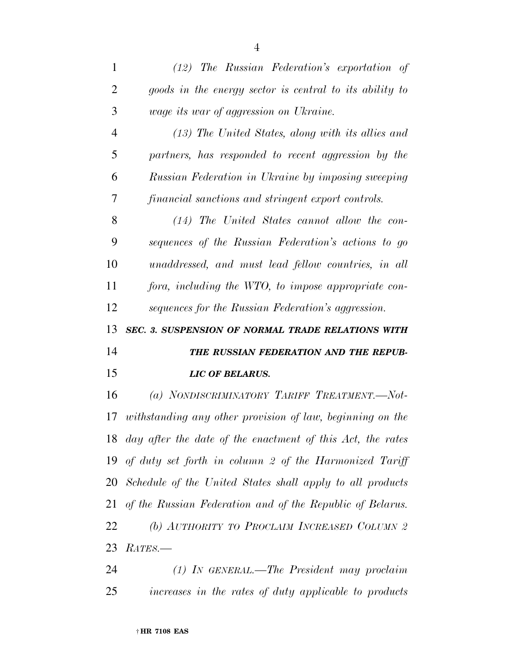| 1              | $(12)$ The Russian Federation's exportation of                |
|----------------|---------------------------------------------------------------|
| $\overline{2}$ | goods in the energy sector is central to its ability to       |
| 3              | wage its war of aggression on Ukraine.                        |
| 4              | $(13)$ The United States, along with its allies and           |
| 5              | partners, has responded to recent aggression by the           |
| 6              | Russian Federation in Ukraine by imposing sweeping            |
| 7              | financial sanctions and stringent export controls.            |
| 8              | $(14)$ The United States cannot allow the con-                |
| 9              | sequences of the Russian Federation's actions to go           |
| 10             | unaddressed, and must lead fellow countries, in all           |
| 11             | fora, including the WTO, to impose appropriate con-           |
| 12             | sequences for the Russian Federation's aggression.            |
|                |                                                               |
| 13             | SEC. 3. SUSPENSION OF NORMAL TRADE RELATIONS WITH             |
| 14             | THE RUSSIAN FEDERATION AND THE REPUB-                         |
|                | <b>LIC OF BELARUS.</b>                                        |
| 16             | (a) NONDISCRIMINATORY TARIFF TREATMENT.-Not-                  |
| 17             | withstanding any other provision of law, beginning on the     |
| 15             | 18 day after the date of the enactment of this Act, the rates |
|                | 19 of duty set forth in column 2 of the Harmonized Tariff     |
|                | 20 Schedule of the United States shall apply to all products  |
|                | of the Russian Federation and of the Republic of Belarus.     |
| 21<br>22       | (b) AUTHORITY TO PROCLAIM INCREASED COLUMN 2                  |
| 23             | $RATES. -$                                                    |

*increases in the rates of duty applicable to products*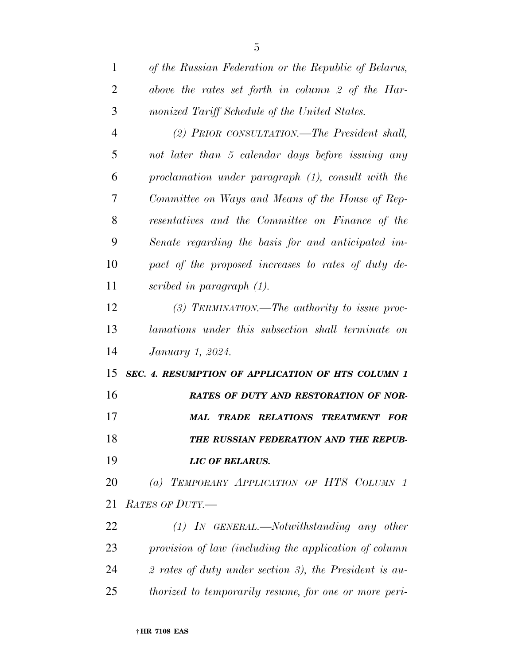| 1              | of the Russian Federation or the Republic of Belarus,  |
|----------------|--------------------------------------------------------|
| $\overline{2}$ | above the rates set forth in column 2 of the Har-      |
| 3              | monized Tariff Schedule of the United States.          |
| $\overline{4}$ | (2) PRIOR CONSULTATION.—The President shall,           |
| 5              | not later than 5 calendar days before issuing any      |
| 6              | proclamation under paragraph (1), consult with the     |
| 7              | Committee on Ways and Means of the House of Rep-       |
| 8              | resentatives and the Committee on Finance of the       |
| 9              | Senate regarding the basis for and anticipated im-     |
| 10             | pact of the proposed increases to rates of duty de-    |
| 11             | scribed in paragraph (1).                              |
| 12             | (3) TERMINATION.—The authority to issue proc-          |
| 13             | lamations under this subsection shall terminate on     |
| 14             | January 1, 2024.                                       |
| 15             | SEC. 4. RESUMPTION OF APPLICATION OF HTS COLUMN 1      |
| 16             | RATES OF DUTY AND RESTORATION OF NOR-                  |
| 17             | TRADE RELATIONS TREATMENT FOR<br>MAL                   |
| 18             | THE RUSSIAN FEDERATION AND THE REPUB-                  |
| 19             | LIC OF BELARUS.                                        |
| 20             | (a) TEMPORARY APPLICATION OF HTS COLUMN 1              |
| 21             | <b>RATES OF DUTY.-</b>                                 |
| 22             | $(1)$ In GENERAL.—Notwithstanding any other            |
| 23             | provision of law (including the application of column  |
| 24             | 2 rates of duty under section 3), the President is au- |
| 25             | thorized to temporarily resume, for one or more peri-  |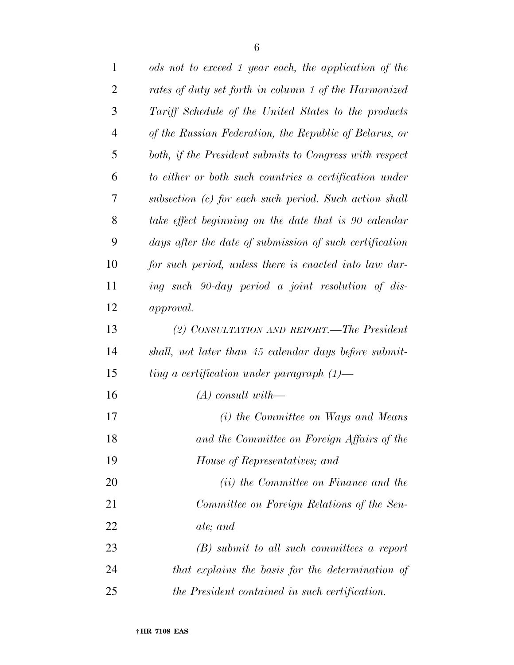| $\mathbf{1}$   | ods not to exceed 1 year each, the application of the   |
|----------------|---------------------------------------------------------|
| $\overline{2}$ | rates of duty set forth in column 1 of the Harmonized   |
| 3              | Tariff Schedule of the United States to the products    |
| $\overline{4}$ | of the Russian Federation, the Republic of Belarus, or  |
| 5              | both, if the President submits to Congress with respect |
| 6              | to either or both such countries a certification under  |
| 7              | subsection (c) for each such period. Such action shall  |
| 8              | take effect beginning on the date that is 90 calendar   |
| 9              | days after the date of submission of such certification |
| 10             | for such period, unless there is enacted into law dur-  |
| 11             | ing such 90-day period a joint resolution of dis-       |
| 12             | <i>approval.</i>                                        |
| 13             | (2) CONSULTATION AND REPORT.—The President              |
| 14             | shall, not later than 45 calendar days before submit-   |
| 15             | ting a certification under paragraph $(1)$ —            |
| 16             | $(A)$ consult with—                                     |
| 17             | (i) the Committee on Ways and Means                     |
| 18             | and the Committee on Foreign Affairs of the             |
| 19             | House of Representatives; and                           |
| 20             | (ii) the Committee on Finance and the                   |
| 21             | Committee on Foreign Relations of the Sen-              |
| 22             | ate; and                                                |
| 23             | $(B)$ submit to all such committees a report            |
| 24             | that explains the basis for the determination of        |
| 25             | the President contained in such certification.          |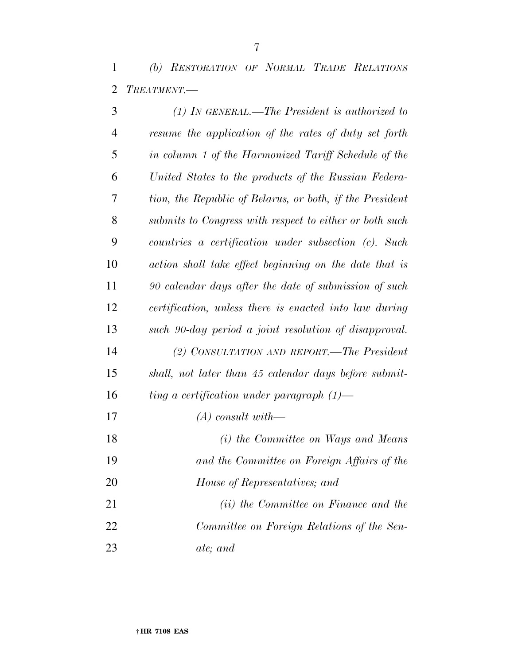*(b) RESTORATION OF NORMAL TRADE RELATIONS TREATMENT.—* 

| 3              | $(1)$ IN GENERAL.—The President is authorized to         |
|----------------|----------------------------------------------------------|
| $\overline{4}$ | resume the application of the rates of duty set forth    |
| 5              | in column 1 of the Harmonized Tariff Schedule of the     |
| 6              | United States to the products of the Russian Federa-     |
| 7              | tion, the Republic of Belarus, or both, if the President |
| 8              | submits to Congress with respect to either or both such  |
| 9              | countries a certification under subsection (c). Such     |
| 10             | action shall take effect beginning on the date that is   |
| 11             | 90 calendar days after the date of submission of such    |
| 12             | certification, unless there is enacted into law during   |
| 13             | such 90-day period a joint resolution of disapproval.    |
| 14             | (2) CONSULTATION AND REPORT.—The President               |
| 15             | shall, not later than 45 calendar days before submit-    |
| 16             | ting a certification under paragraph $(1)$ —             |
| 17             | $(A)$ consult with—                                      |
| 18             | (i) the Committee on Ways and Means                      |
| 19             | and the Committee on Foreign Affairs of the              |
| 20             | House of Representatives; and                            |
| 21             | (ii) the Committee on Finance and the                    |
| 22             | Committee on Foreign Relations of the Sen-               |
| 23             | ate; and                                                 |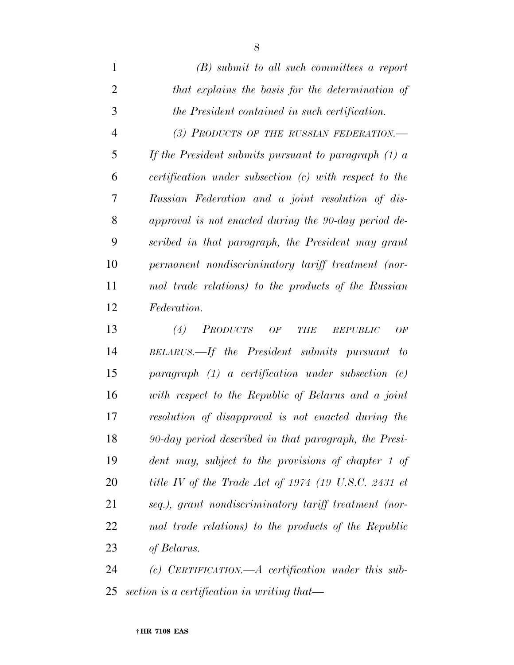| 1              | $(B)$ submit to all such committees a report           |
|----------------|--------------------------------------------------------|
| $\overline{2}$ | that explains the basis for the determination of       |
| 3              | the President contained in such certification.         |
| $\overline{4}$ | (3) PRODUCTS OF THE RUSSIAN FEDERATION.-               |
| 5              | If the President submits pursuant to paragraph $(1)$ a |
| 6              | certification under subsection (c) with respect to the |
| 7              | Russian Federation and a joint resolution of dis-      |
| 8              | approval is not enacted during the 90-day period de-   |
| 9              | scribed in that paragraph, the President may grant     |
| 10             | permanent nondiscriminatory tariff treatment (nor-     |
| 11             | mal trade relations) to the products of the Russian    |
| 12             | <i>Federation.</i>                                     |
|                |                                                        |

 *(4) PRODUCTS OF THE REPUBLIC OF BELARUS.—If the President submits pursuant to paragraph (1) a certification under subsection (c) with respect to the Republic of Belarus and a joint resolution of disapproval is not enacted during the 90-day period described in that paragraph, the Presi- dent may, subject to the provisions of chapter 1 of title IV of the Trade Act of 1974 (19 U.S.C. 2431 et seq.), grant nondiscriminatory tariff treatment (nor- mal trade relations) to the products of the Republic of Belarus.* 

 *(c) CERTIFICATION.—A certification under this sub-section is a certification in writing that—*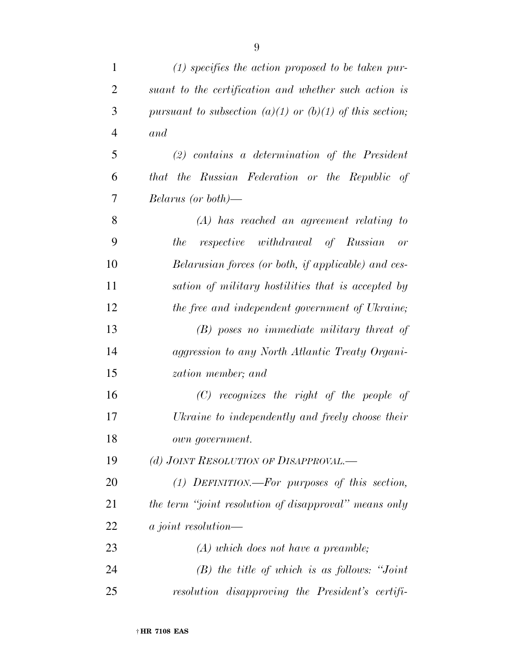| $\mathbf{1}$   | $(1)$ specifies the action proposed to be taken pur-     |
|----------------|----------------------------------------------------------|
| $\overline{2}$ | suant to the certification and whether such action is    |
| 3              | pursuant to subsection (a)(1) or (b)(1) of this section; |
| $\overline{4}$ | and                                                      |
| 5              | $(2)$ contains a determination of the President          |
| 6              | that the Russian Federation or the Republic of           |
| 7              | <i>Belarus (or both)—</i>                                |
| 8              | $(A)$ has reached an agreement relating to               |
| 9              | respective withdrawal of Russian<br>the<br>$-$ or        |
| 10             | Belarusian forces (or both, if applicable) and ces-      |
| 11             | sation of military hostilities that is accepted by       |
| 12             | the free and independent government of Ukraine;          |
| 13             | (B) poses no immediate military threat of                |
| 14             | aggression to any North Atlantic Treaty Organi-          |
| 15             | zation member; and                                       |
| 16             | $(C)$ recognizes the right of the people of              |
| 17             | Ukraine to independently and freely choose their         |
| 18             | own government.                                          |
| 19             | (d) JOINT RESOLUTION OF DISAPPROVAL.—                    |
| 20             | $(1)$ DEFINITION.—For purposes of this section,          |
| 21             | the term "joint resolution of disapproval" means only    |
| 22             | <i>a joint resolution—</i>                               |
| 23             | $(A)$ which does not have a preamble;                    |
| 24             | $(B)$ the title of which is as follows: "Joint"          |
| 25             | resolution disapproving the President's certifi-         |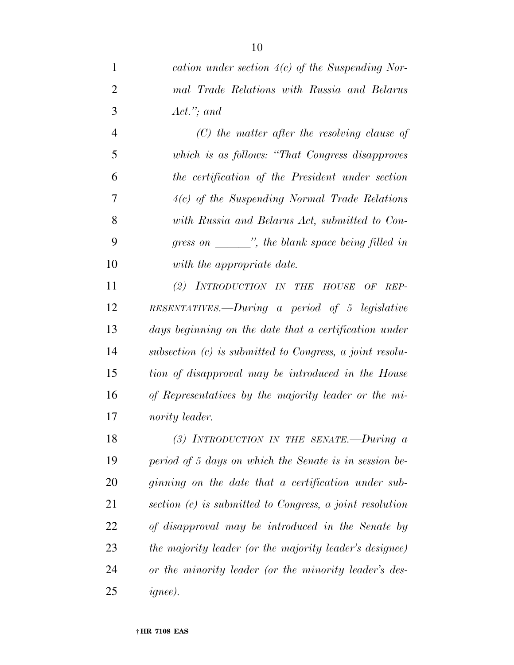*cation under section 4(c) of the Suspending Nor- mal Trade Relations with Russia and Belarus Act.''; and* 

 *(C) the matter after the resolving clause of which is as follows: ''That Congress disapproves the certification of the President under section 4(c) of the Suspending Normal Trade Relations with Russia and Belarus Act, submitted to Con-gress on* \_\_\_\_\_\_\_\_", the blank space being filled in *with the appropriate date.* 

 *(2) INTRODUCTION IN THE HOUSE OF REP- RESENTATIVES.—During a period of 5 legislative days beginning on the date that a certification under subsection (c) is submitted to Congress, a joint resolu- tion of disapproval may be introduced in the House of Representatives by the majority leader or the mi-nority leader.* 

 *(3) INTRODUCTION IN THE SENATE.—During a period of 5 days on which the Senate is in session be- ginning on the date that a certification under sub- section (c) is submitted to Congress, a joint resolution of disapproval may be introduced in the Senate by the majority leader (or the majority leader's designee) or the minority leader (or the minority leader's des-ignee).*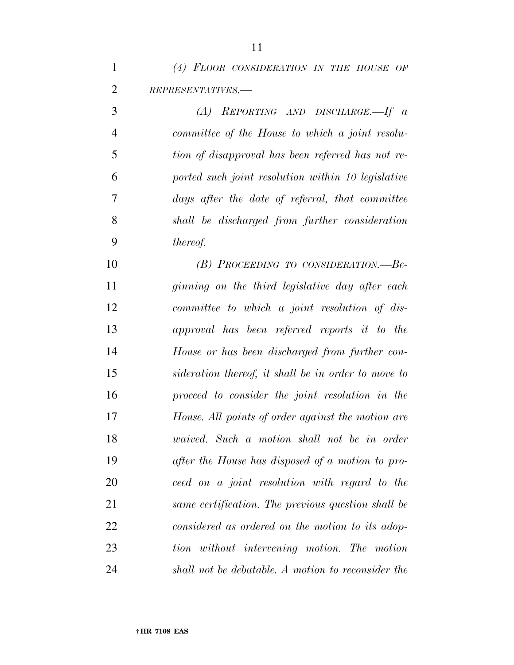*(4) FLOOR CONSIDERATION IN THE HOUSE OF REPRESENTATIVES.—* 

 *(A) REPORTING AND DISCHARGE.—If a committee of the House to which a joint resolu- tion of disapproval has been referred has not re- ported such joint resolution within 10 legislative days after the date of referral, that committee shall be discharged from further consideration thereof.* 

 *(B) PROCEEDING TO CONSIDERATION.—Be- ginning on the third legislative day after each committee to which a joint resolution of dis- approval has been referred reports it to the House or has been discharged from further con- sideration thereof, it shall be in order to move to proceed to consider the joint resolution in the House. All points of order against the motion are waived. Such a motion shall not be in order after the House has disposed of a motion to pro- ceed on a joint resolution with regard to the same certification. The previous question shall be considered as ordered on the motion to its adop- tion without intervening motion. The motion shall not be debatable. A motion to reconsider the*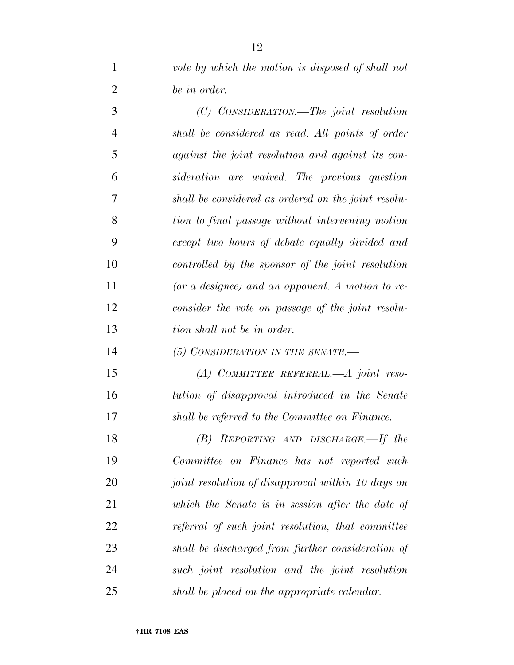*vote by which the motion is disposed of shall not be in order.* 

 *(C) CONSIDERATION.—The joint resolution shall be considered as read. All points of order against the joint resolution and against its con- sideration are waived. The previous question shall be considered as ordered on the joint resolu- tion to final passage without intervening motion except two hours of debate equally divided and controlled by the sponsor of the joint resolution (or a designee) and an opponent. A motion to re- consider the vote on passage of the joint resolu-tion shall not be in order.* 

*(5) CONSIDERATION IN THE SENATE.—* 

 *(A) COMMITTEE REFERRAL.—A joint reso- lution of disapproval introduced in the Senate shall be referred to the Committee on Finance.* 

 *(B) REPORTING AND DISCHARGE.—If the Committee on Finance has not reported such joint resolution of disapproval within 10 days on which the Senate is in session after the date of referral of such joint resolution, that committee shall be discharged from further consideration of such joint resolution and the joint resolution shall be placed on the appropriate calendar.*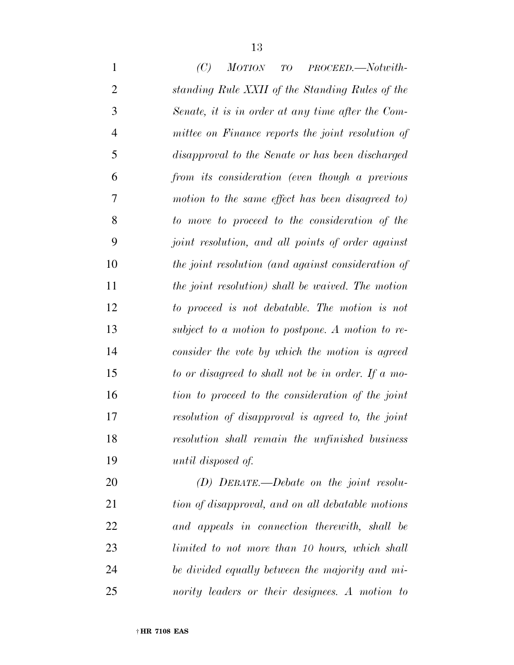| $\mathbf{1}$   | (C)<br>MOTION TO PROCEED.—Notwith-                 |
|----------------|----------------------------------------------------|
| $\overline{2}$ | standing Rule XXII of the Standing Rules of the    |
| 3              | Senate, it is in order at any time after the Com-  |
| $\overline{4}$ | mittee on Finance reports the joint resolution of  |
| 5              | disapproval to the Senate or has been discharged   |
| 6              | from its consideration (even though a previous     |
| 7              | motion to the same effect has been disagreed to)   |
| 8              | to move to proceed to the consideration of the     |
| 9              | joint resolution, and all points of order against  |
| 10             | the joint resolution (and against consideration of |
| 11             | the joint resolution) shall be waived. The motion  |
| 12             | to proceed is not debatable. The motion is not     |
| 13             | subject to a motion to postpone. A motion to re-   |
| 14             | consider the vote by which the motion is agreed    |
| 15             | to or disagreed to shall not be in order. If a mo- |
| 16             | tion to proceed to the consideration of the joint  |
| 17             | resolution of disapproval is agreed to, the joint  |
| 18             | resolution shall remain the unfinished business    |
| 19             | until disposed of.                                 |
| 20             | $(D)$ DEBATE.—Debate on the joint resolu-          |
| 21             | tion of disapproval, and on all debatable motions  |
| 22             | and appeals in connection therewith, shall be      |
| 23             | limited to not more than 10 hours, which shall     |
| 24             | be divided equally between the majority and mi-    |

*nority leaders or their designees. A motion to*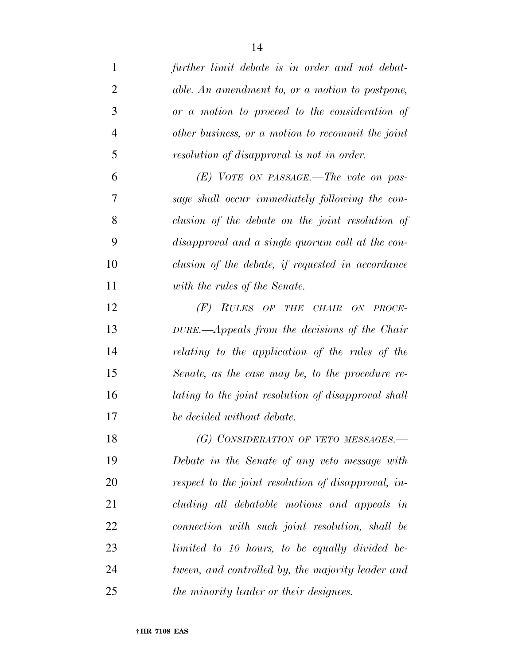| $\mathbf{1}$   | further limit debate is in order and not debat-     |
|----------------|-----------------------------------------------------|
| $\overline{2}$ | able. An amendment to, or a motion to postpone,     |
| 3              | or a motion to proceed to the consideration of      |
| $\overline{4}$ | other business, or a motion to recommit the joint   |
| 5              | resolution of disapproval is not in order.          |
| 6              | $(E)$ VOTE ON PASSAGE.—The vote on pas-             |
| 7              | sage shall occur immediately following the con-     |
| 8              | clusion of the debate on the joint resolution of    |
| 9              | disapproval and a single quorum call at the con-    |
| 10             | clusion of the debate, if requested in accordance   |
| 11             | with the rules of the Senate.                       |
| 12             | $(F)$ RULES OF THE CHAIR ON PROCE-                  |
| 13             | $DURE. -\n$ Appeals from the decisions of the Chair |
| 14             | relating to the application of the rules of the     |
| 15             | Senate, as the case may be, to the procedure re-    |
| 16             | lating to the joint resolution of disapproval shall |
| 17             | be decided without debate.                          |
| 18             | (G) CONSIDERATION OF VETO MESSAGES.-                |
| 19             | Debate in the Senate of any veto message with       |
| 20             | respect to the joint resolution of disapproval, in- |
| 21             | cluding all debatable motions and appeals in        |
| 22             | connection with such joint resolution, shall be     |
| 23             | limited to 10 hours, to be equally divided be-      |
| 24             | tween, and controlled by, the majority leader and   |
| 25             | the minority leader or their designees.             |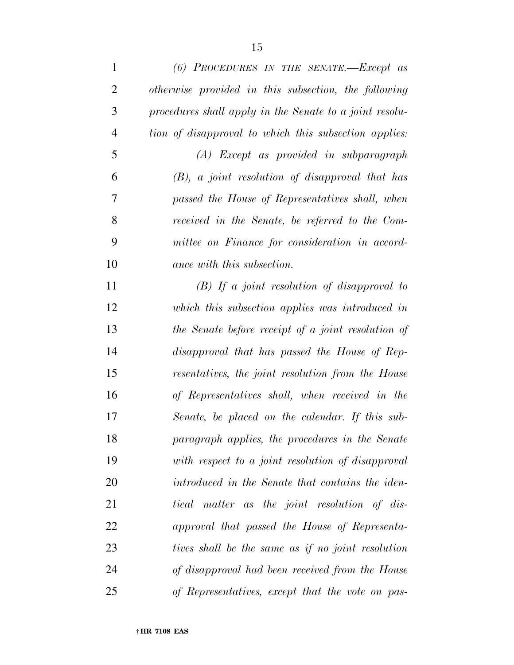| $\mathbf{1}$   | (6) PROCEDURES IN THE SENATE.- $\pounds xcep$ as        |
|----------------|---------------------------------------------------------|
| $\overline{2}$ | otherwise provided in this subsection, the following    |
| 3              | procedures shall apply in the Senate to a joint resolu- |
| $\overline{4}$ | tion of disapproval to which this subsection applies:   |
| 5              | $(A)$ Except as provided in subparagraph                |
| 6              | $(B)$ , a joint resolution of disapproval that has      |
| 7              | passed the House of Representatives shall, when         |
| 8              | received in the Senate, be referred to the Com-         |
| 9              | mittee on Finance for consideration in accord-          |
| 10             | ance with this subsection.                              |
| 11             | $(B)$ If a joint resolution of disapproval to           |
| 12             | which this subsection applies was introduced in         |
| 13             | the Senate before receipt of a joint resolution of      |
| 14             | disapproval that has passed the House of Rep-           |
| 15             | resentatives, the joint resolution from the House       |
| 16             | of Representatives shall, when received in the          |
| 17             | Senate, be placed on the calendar. If this sub-         |
| 18             | paragraph applies, the procedures in the Senate         |
| 19             | with respect to a joint resolution of disapproval       |
| 20             | introduced in the Senate that contains the iden-        |
| 21             | tical matter as the joint resolution of dis-            |
| 22             | approval that passed the House of Representa-           |
| 23             | tives shall be the same as if no joint resolution       |
| 24             | of disapproval had been received from the House         |
| 25             | of Representatives, except that the vote on pas-        |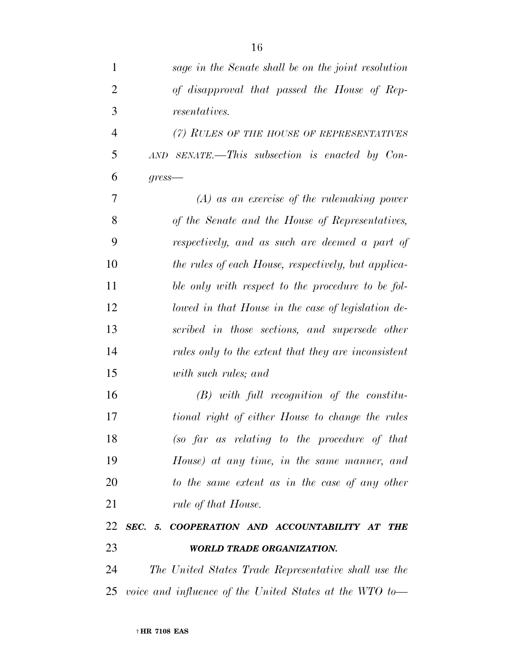| 1              | sage in the Senate shall be on the joint resolution        |
|----------------|------------------------------------------------------------|
| $\overline{2}$ | of disapproval that passed the House of Rep-               |
| 3              | <i>resentatives.</i>                                       |
| $\overline{4}$ | (7) RULES OF THE HOUSE OF REPRESENTATIVES                  |
| 5              | $AND$ SENATE.—This subsection is enacted by Con-           |
| 6              | $qress$ —                                                  |
| 7              | $(A)$ as an exercise of the rulemaking power               |
| 8              | of the Senate and the House of Representatives,            |
| 9              | respectively, and as such are deemed a part of             |
| 10             | the rules of each House, respectively, but applica-        |
| 11             | ble only with respect to the procedure to be fol-          |
| 12             | lowed in that House in the case of legislation de-         |
| 13             | scribed in those sections, and supersede other             |
| 14             | rules only to the extent that they are inconsistent        |
| 15             | with such rules; and                                       |
| 16             | $(B)$ with full recognition of the constitu-               |
| 17             | tional right of either House to change the rules           |
| 18             | (so far as relating to the procedure of that               |
| 19             | House) at any time, in the same manner, and                |
| 20             | to the same extent as in the case of any other             |
| 21             | rule of that House.                                        |
| 22             | SEC. 5. COOPERATION AND ACCOUNTABILITY AT THE              |
| 23             | <b>WORLD TRADE ORGANIZATION.</b>                           |
| 24             | The United States Trade Representative shall use the       |
|                | 25 voice and influence of the United States at the WTO to- |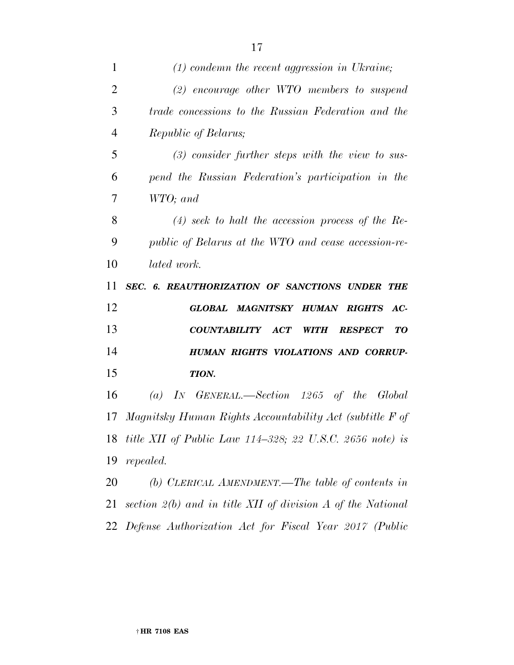| 1              | $(1)$ condemn the recent aggression in Ukraine;                  |
|----------------|------------------------------------------------------------------|
| $\overline{2}$ | $(2)$ encourage other WTO members to suspend                     |
| 3              | trade concessions to the Russian Federation and the              |
| $\overline{4}$ | <i>Republic of Belarus;</i>                                      |
| 5              | $(3)$ consider further steps with the view to sus-               |
| 6              | pend the Russian Federation's participation in the               |
| 7              | WTO; and                                                         |
| 8              | $(4)$ seek to halt the accession process of the Re-              |
| 9              | <i>public of Belarus at the WTO and cease accession-re-</i>      |
| 10             | lated work.                                                      |
| 11             | SEC. 6. REAUTHORIZATION OF SANCTIONS UNDER THE                   |
|                |                                                                  |
| 12             | GLOBAL MAGNITSKY HUMAN RIGHTS<br>$AC-$                           |
| 13             | COUNTABILITY ACT<br>TO<br><b>WITH</b><br><b>RESPECT</b>          |
| 14             | HUMAN RIGHTS VIOLATIONS AND CORRUP-                              |
| 15             | TION.                                                            |
| 16             | IN GENERAL.—Section 1265 of the Global<br>(a)                    |
| 17             | Magnitsky Human Rights Accountability Act (subtitle F of         |
|                | 18 title XII of Public Law 114–328; 22 U.S.C. 2656 note) is      |
| 19             | repealed.                                                        |
| 20             | (b) CLERICAL AMENDMENT.—The table of contents in                 |
|                | 21 section $2(b)$ and in title XII of division A of the National |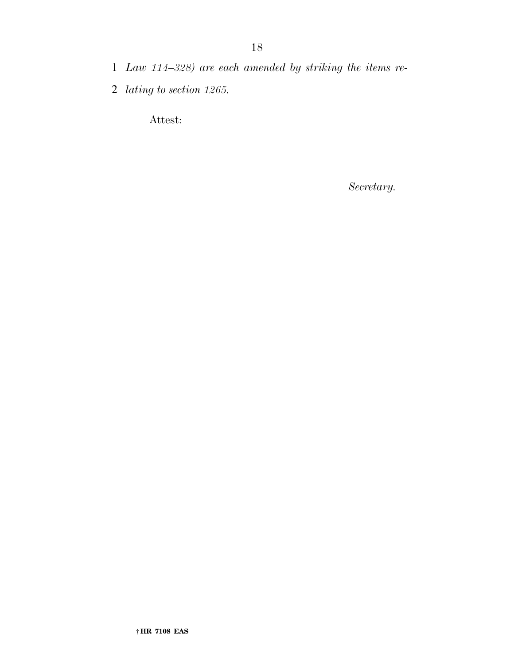- 1 *Law 114–328) are each amended by striking the items re-*
- 2 *lating to section 1265.*

Attest:

*Secretary.*